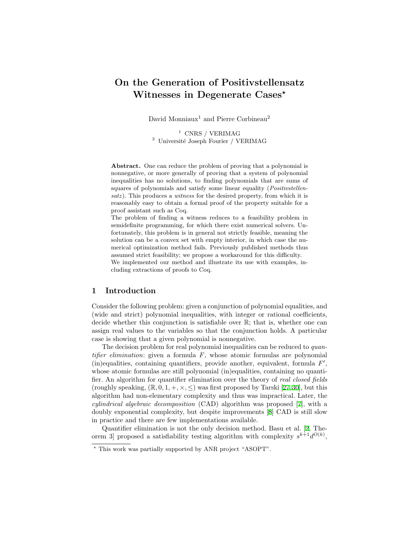# **On the Generation of Positivstellensatz Witnesses in Degenerate Cases***?*

David Monniaux<sup>1</sup> and Pierre Corbineau<sup>2</sup>

 $1$  CNRS / VERIMAG  $^2$  Université Joseph Fourier / VERIMAG

**Abstract.** One can reduce the problem of proving that a polynomial is nonnegative, or more generally of proving that a system of polynomial inequalities has no solutions, to finding polynomials that are sums of squares of polynomials and satisfy some linear equality (*Positivstellensatz* ). This produces a *witness* for the desired property, from which it is reasonably easy to obtain a formal proof of the property suitable for a proof assistant such as Coq.

The problem of finding a witness reduces to a feasibility problem in semidefinite programming, for which there exist numerical solvers. Unfortunately, this problem is in general not strictly feasible, meaning the solution can be a convex set with empty interior, in which case the numerical optimization method fails. Previously published methods thus assumed strict feasibility; we propose a workaround for this difficulty. We implemented our method and illustrate its use with examples, including extractions of proofs to Coq.

### **1 Introduction**

Consider the following problem: given a conjunction of polynomial equalities, and (wide and strict) polynomial inequalities, with integer or rational coefficients, decide whether this conjunction is satisfiable over R; that is, whether one can assign real values to the variables so that the conjunction holds. A particular case is showing that a given polynomial is nonnegative.

The decision problem for real polynomial inequalities can be reduced to *quantifier elimination*: given a formula *F*, whose atomic formulas are polynomial  $(i)$  equalities, containing quantifiers, provide another, equivalent, formula  $F'$ , whose atomic formulas are still polynomial (in)equalities, containing no quantifier. An algorithm for quantifier elimination over the theory of *real closed fields* (roughly speaking,  $(\mathbb{R}, 0, 1, +, \times, \leq)$ ) was first proposed by Tarski [[27,](#page-15-0)[30\]](#page-15-1), but this algorithm had non-elementary complexity and thus was impractical. Later, the *cylindrical algebraic decomposition* (CAD) algorithm was proposed [\[7](#page-14-0)], with a doubly exponential complexity, but despite improvements [\[8](#page-14-1)] CAD is still slow in practice and there are few implementations available.

Quantifier elimination is not the only decision method. Basu et al. [[2,](#page-13-0) Theorem 3 proposed a satisfiability testing algorithm with complexity  $s^{k+1}d^{O(k)}$ ,

*<sup>?</sup>* This work was partially supported by ANR project "ASOPT".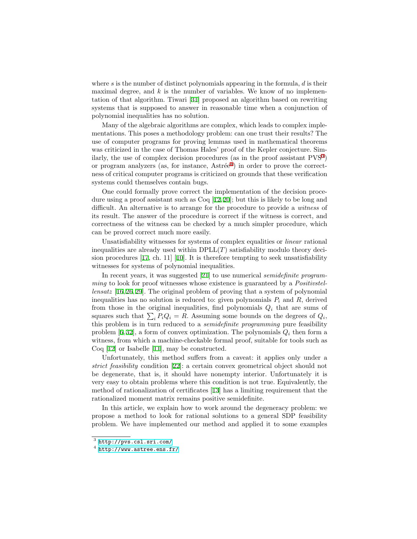where *s* is the number of distinct polynomials appearing in the formula, *d* is their maximal degree, and  $k$  is the number of variables. We know of no implementation of that algorithm. Tiwari [[31\]](#page-15-2) proposed an algorithm based on rewriting systems that is supposed to answer in reasonable time when a conjunction of polynomial inequalities has no solution.

Many of the algebraic algorithms are complex, which leads to complex implementations. This poses a methodology problem: can one trust their results? The use of computer programs for proving lemmas used in mathematical theorems was criticized in the case of Thomas Hales' proof of the Kepler conjecture. Sim-ilarly, the use of complex decision procedures (as in the proof assistant PVS<sup>[3](#page-1-0)</sup>) or program analyzers (as, for instance,  $Astr\acute{e}e^{4}$  $Astr\acute{e}e^{4}$  $Astr\acute{e}e^{4}$ ) in order to prove the correctness of critical computer programs is criticized on grounds that these verification systems could themselves contain bugs.

One could formally prove correct the implementation of the decision procedure using a proof assistant such as Coq [[12,](#page-14-2)[20\]](#page-14-3); but this is likely to be long and difficult. An alternative is to arrange for the procedure to provide a *witness* of its result. The answer of the procedure is correct if the witness is correct, and correctness of the witness can be checked by a much simpler procedure, which can be proved correct much more easily.

Unsatisfiability witnesses for systems of complex equalities or *linear* rational inequalities are already used within  $DPLL(T)$  satisfiability modulo theory decision procedures [\[17](#page-14-4), ch. 11] [[10\]](#page-14-5). It is therefore tempting to seek unsatisfiability witnesses for systems of polynomial inequalities.

In recent years, it was suggested [\[21](#page-14-6)] to use numerical *semidefinite programming* to look for proof witnesses whose existence is guaranteed by a *Positivstellensatz* [\[16](#page-14-7),[26,](#page-15-3)[29\]](#page-15-4). The original problem of proving that a system of polynomial inequalities has no solution is reduced to: given polynomials  $P_i$  and  $R$ , derived from those in the original inequalities, find polynomials *Q<sup>i</sup>* that are sums of squares such that  $\sum_i P_i Q_i = R$ . Assuming some bounds on the degrees of  $Q_i$ , this problem is in turn reduced to a *semidefinite programming* pure feasibility problem  $[6,32]$  $[6,32]$  $[6,32]$  $[6,32]$ , a form of convex optimization. The polynomials  $Q_i$  then form a witness, from which a machine-checkable formal proof, suitable for tools such as Coq [[12\]](#page-14-2) or Isabelle [[11\]](#page-14-8), may be constructed.

Unfortunately, this method suffers from a caveat: it applies only under a *strict feasibility* condition [[22](#page-14-9)]: a certain convex geometrical object should not be degenerate, that is, it should have nonempty interior. Unfortunately it is very easy to obtain problems where this condition is not true. Equivalently, the method of rationalization of certificates [[13\]](#page-14-10) has a limiting requirement that the rationalized moment matrix remains positive semidefinite.

In this article, we explain how to work around the degeneracy problem: we propose a method to look for rational solutions to a general SDP feasibility problem. We have implemented our method and applied it to some examples

<span id="page-1-0"></span> $^3$  <http://pvs.csl.sri.com/>

<span id="page-1-1"></span> $^4$  <http://www.astree.ens.fr/>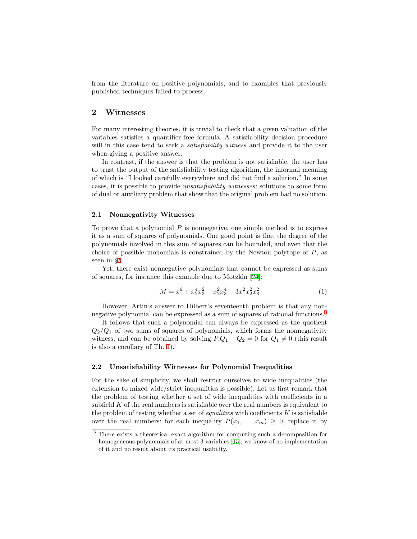from the literature on positive polynomials, and to examples that previously published techniques failed to process.

# **2 Witnesses**

For many interesting theories, it is trivial to check that a given valuation of the variables satisfies a quantifier-free formula. A satisfiability decision procedure will in this case tend to seek a *satisfiability witness* and provide it to the user when giving a positive answer.

In contrast, if the answer is that the problem is not satisfiable, the user has to trust the output of the satisfiability testing algorithm, the informal meaning of which is "I looked carefully everywhere and did not find a solution." In some cases, it is possible to provide *unsatisfiability witnesses*: solutions to some form of dual or auxiliary problem that show that the original problem had no solution.

#### <span id="page-2-1"></span>**2.1 Nonnegativity Witnesses**

To prove that a polynomial *P* is nonnegative, one simple method is to express it as a sum of squares of polynomials. One good point is that the degree of the polynomials involved in this sum of squares can be bounded, and even that the choice of possible monomials is constrained by the Newton polytope of *P*, as seen in *§*[3](#page-4-0).

Yet, there exist nonnegative polynomials that cannot be expressed as sums of squares, for instance this example due to Motzkin [[24\]](#page-14-11):

<span id="page-2-3"></span>
$$
M = x_1^6 + x_2^4 x_3^2 + x_2^2 x_3^4 - 3x_1^2 x_2^2 x_3^2 \tag{1}
$$

However, Artin's answer to Hilbert's seventeenth problem is that any non-negative polynomial can be expressed as a sum of squares of rational functions.<sup>[5](#page-2-0)</sup>

It follows that such a polynomial can always be expressed as the quotient  $Q_2/Q_1$  of two sums of squares of polynomials, which forms the nonnegativity witness, and can be obtained by solving  $P.Q_1 - Q_2 = 0$  for  $Q_1 \neq 0$  (this result is also a corollary of Th. [1\)](#page-3-0).

### <span id="page-2-2"></span>**2.2 Unsatisfiability Witnesses for Polynomial Inequalities**

For the sake of simplicity, we shall restrict ourselves to wide inequalities (the extension to mixed wide/strict inequalities is possible). Let us first remark that the problem of testing whether a set of wide inequalities with coefficients in a subfield *K* of the real numbers is satisfiable over the real numbers is equivalent to the problem of testing whether a set of *equalities* with coefficients *K* is satisfiable over the real numbers: for each inequality  $P(x_1, \ldots, x_m) \geq 0$ , replace it by

<span id="page-2-0"></span><sup>5</sup> There exists a theoretical exact algorithm for computing such a decomposition for homogeneous polynomials of at most 3 variables [[15](#page-14-12)]; we know of no implementation of it and no result about its practical usability.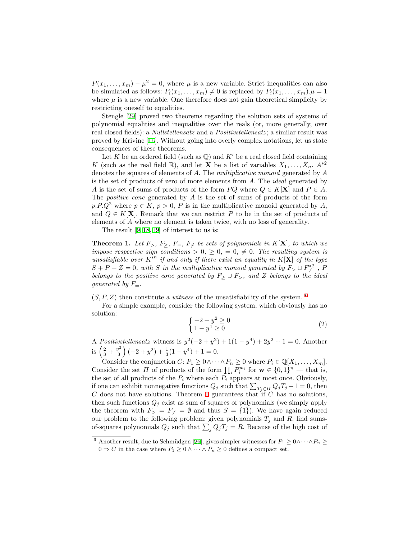$P(x_1, \ldots, x_m) - \mu^2 = 0$ , where  $\mu$  is a new variable. Strict inequalities can also be simulated as follows:  $P_i(x_1, \ldots, x_m) \neq 0$  is replaced by  $P_i(x_1, \ldots, x_m) \cdot \mu = 1$ where  $\mu$  is a new variable. One therefore does not gain theoretical simplicity by restricting oneself to equalities.

Stengle [\[29](#page-15-4)] proved two theorems regarding the solution sets of systems of polynomial equalities and inequalities over the reals (or, more generally, over real closed fields): a *Nullstellensatz* and a *Positivstellensatz* ; a similar result was proved by Krivine [[16\]](#page-14-7). Without going into overly complex notations, let us state consequences of these theorems.

Let *K* be an ordered field (such as  $\mathbb{Q}$ ) and *K'* be a real closed field containing *K* (such as the real field  $\mathbb{R}$ ), and let **X** be a list of variables  $X_1, \ldots, X_n$ .  $A^{*2}$ denotes the squares of elements of *A*. The *multiplicative monoid* generated by *A* is the set of products of zero of more elements from *A*. The *ideal* generated by *A* is the set of sums of products of the form  $PQ$  where  $Q \in K[X]$  and  $P \in A$ . The *positive cone* generated by *A* is the set of sums of products of the form  $p.P.Q<sup>2</sup>$  where  $p \in K$ ,  $p > 0$ , *P* is in the multiplicative monoid generated by *A*, and  $Q \in K[\mathbf{X}]$ . Remark that we can restrict P to be in the set of products of elements of *A* where no element is taken twice, with no loss of generality.

The result [[9,](#page-14-13) [18,](#page-14-14) [19\]](#page-14-15) of interest to us is:

**Theorem 1.** Let  $F_>, F_>, F_-, F_{\neq}$  be sets of polynomials in  $K[X]$ , to which we *impose respective sign conditions*  $> 0, \geq 0, = 0, \neq 0$ . The resulting system is *unsatisfiable over*  $K^n$  *if and only if there exist an equality in*  $K[X]$  *of the type*  $S + P + Z = 0$ , with *S* in the multiplicative monoid generated by  $F > \bigcup F_*^{*2}$ ,  $P^*$ *belongs to the positive cone generated by*  $F$ <sup>*>*</sup> $\cup$  $F$ <sup>*>*</sup>*, and Z belongs to the ideal generated by*  $F_{=}$ .

 $(S, P, Z)$  then constitute a *witness* of the unsatisfiability of the system. <sup>[6](#page-3-1)</sup>

For a simple example, consider the following system, which obviously has no solution:

<span id="page-3-2"></span><span id="page-3-0"></span>
$$
\begin{cases}\n-2 + y^2 \ge 0\\ \n1 - y^4 \ge 0\n\end{cases}
$$
\n(2)

A *Positivstellensatz* witness is  $y^2(-2 + y^2) + 1(1 - y^4) + 2y^2 + 1 = 0$ . Another is  $\left(\frac{2}{3} + \frac{y^2}{3}\right)$  $\frac{y^2}{3}$ ) (-2 +  $y^2$ ) +  $\frac{1}{3}(1-y^4)$  + 1 = 0.

Consider the conjunction *C*:  $P_1 \geq 0 \wedge \cdots \wedge P_n \geq 0$  where  $P_i \in \mathbb{Q}[X_1, \ldots, X_m]$ . Consider the set *Π* of products of the form  $\prod_i P_i^{w_i}$  for  $\mathbf{w} \in \{0,1\}^n$  — that is, the set of all products of the  $P_i$  where each  $P_i$  appears at most once. Obviously, if one can exhibit nonnegative functions  $Q_j$  such that  $\sum_{T_j \in \Pi} Q_j T_j + 1 = 0$ , then  $C$  does not have solutions. Theorem [1](#page-3-0) guarantees that if  $C$  has no solutions, then such functions  $Q_j$  exist as sum of squares of polynomials (we simply apply the theorem with  $F_{>} = F_{\neq} = \emptyset$  and thus  $S = \{1\}$ ). We have again reduced our problem to the following problem: given polynomials  $T_j$  and  $R$ , find sumsof-squares polynomials  $Q_j$  such that  $\sum_j Q_j T_j = R$ . Because of the high cost of

<span id="page-3-1"></span><sup>&</sup>lt;sup>6</sup> Another result, due to Schmüdgen [\[26\]](#page-15-3), gives simpler witnesses for  $P_1 \geq 0 \wedge \cdots \wedge P_n \geq 0$ 0  $\Rightarrow$  *C* in the case where  $P_1 \ge 0 \land \cdots \land P_n \ge 0$  defines a compact set.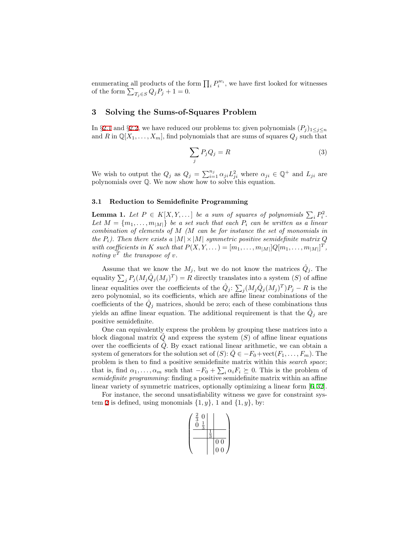enumerating all products of the form  $\prod_i P_i^{w_i}$ , we have first looked for witnesses of the form  $\sum_{T_j \in S} Q_j P_j + 1 = 0.$ 

# <span id="page-4-0"></span>**3 Solving the Sums-of-Squares Problem**

In §[2.1](#page-2-1) and §[2.2,](#page-2-2) we have reduced our problems to: given polynomials  $(P_i)_{1 \leq i \leq n}$ and *R* in  $\mathbb{Q}[X_1,\ldots,X_m]$ , find polynomials that are sums of squares  $Q_i$  such that

<span id="page-4-1"></span>
$$
\sum_{j} P_j Q_j = R \tag{3}
$$

We wish to output the  $Q_j$  as  $Q_j = \sum_{i=1}^{n_j} \alpha_{ji} L_{ji}^2$  where  $\alpha_{ji} \in \mathbb{Q}^+$  and  $L_{ji}$  are polynomials over Q. We now show how to solve this equation.

#### <span id="page-4-2"></span>**3.1 Reduction to Semidefinite Programming**

**Lemma 1.** Let  $P \in K[X, Y, \ldots]$  be a sum of squares of polynomials  $\sum_i P_i^2$ . Let  $M = \{m_1, \ldots, m_{|M|}\}$  be a set such that each  $P_i$  can be written as a linear *combination of elements of M (M can be for instance the set of monomials in the*  $P_i$ *). Then there exists a*  $|M| \times |M|$  *symmetric positive semidefinite matrix Q with coefficients in K such that*  $P(X, Y, \dots) = [m_1, \dots, m_{|M|}]Q[m_1, \dots, m_{|M|}]^T$ , *noting*  $v^T$  *the transpose of*  $v$ *.* 

Assume that we know the  $M_j$ , but we do not know the matrices  $\hat{Q}_j$ . The equality  $\sum_{j} P_j (M_j \hat{Q}_j (M_j)^T) = R$  directly translates into a system (*S*) of affine linear equalities over the coefficients of the  $\hat{Q}_j$ :  $\sum_j (M_j \hat{Q}_j (M_j)^T) P_j - R$  is the zero polynomial, so its coefficients, which are affine linear combinations of the coefficients of the  $\hat{Q}_j$  matrices, should be zero; each of these combinations thus yields an affine linear equation. The additional requirement is that the  $\hat{Q}_j$  are positive semidefinite.

One can equivalently express the problem by grouping these matrices into a block diagonal matrix  $\tilde{Q}$  and express the system  $(S)$  of affine linear equations over the coefficients of  $\tilde{Q}$ . By exact rational linear arithmetic, we can obtain a system of generators for the solution set of  $(S): \hat{Q} \in -F_0 + \text{vect}(F_1, \ldots, F_m)$ . The problem is then to find a positive semidefinite matrix within this *search space*; that is, find  $\alpha_1, \ldots, \alpha_m$  such that  $-F_0 + \sum_i \alpha_i F_i \succeq 0$ . This is the problem of *semidefinite programming*: finding a positive semidefinite matrix within an affine linear variety of symmetric matrices, optionally optimizing a linear form [[6](#page-13-1), [32](#page-15-5)].

For instance, the second unsatisfiability witness we gave for constraint sys-tem [2](#page-3-2) is defined, using monomials  $\{1, y\}$ , 1 and  $\{1, y\}$ , by:

| $\frac{2}{3}$<br>$\boldsymbol{0}$<br>$\frac{1}{3}$<br>$\Omega$ |               |                |
|----------------------------------------------------------------|---------------|----------------|
|                                                                | $\frac{1}{3}$ |                |
|                                                                |               | 0 <sub>0</sub> |
|                                                                |               | 0 <sub>0</sub> |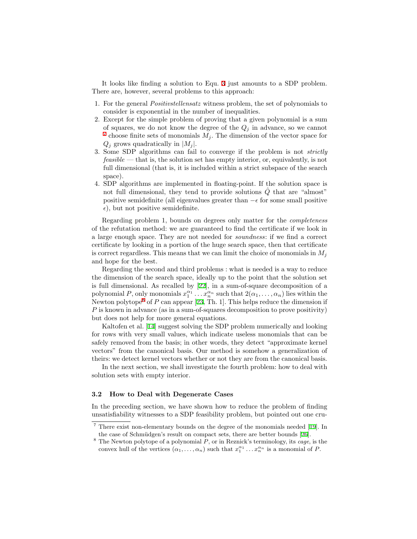It looks like finding a solution to Equ. [3](#page-4-1) just amounts to a SDP problem. There are, however, several problems to this approach:

- 1. For the general *Positivstellensatz* witness problem, the set of polynomials to consider is exponential in the number of inequalities.
- 2. Except for the simple problem of proving that a given polynomial is a sum of squares, we do not know the degree of the  $Q_j$  in advance, so we cannot <sup>[7](#page-5-0)</sup> choose finite sets of monomials  $M_j$ . The dimension of the vector space for  $Q_j$  grows quadratically in  $|M_j|$ .
- 3. Some SDP algorithms can fail to converge if the problem is not *strictly feasible* — that is, the solution set has empty interior, or, equivalently, is not full dimensional (that is, it is included within a strict subspace of the search space).
- 4. SDP algorithms are implemented in floating-point. If the solution space is not full dimensional, they tend to provide solutions *Q*ˆ that are "almost" positive semidefinite (all eigenvalues greater than  $-\epsilon$  for some small positive  $\epsilon$ ), but not positive semidefinite.

Regarding problem 1, bounds on degrees only matter for the *completeness* of the refutation method: we are guaranteed to find the certificate if we look in a large enough space. They are not needed for *soundness*: if we find a correct certificate by looking in a portion of the huge search space, then that certificate is correct regardless. This means that we can limit the choice of monomials in *M<sup>j</sup>* and hope for the best.

Regarding the second and third problems : what is needed is a way to reduce the dimension of the search space, ideally up to the point that the solution set is full dimensional. As recalled by [[22\]](#page-14-9), in a sum-of-square decomposition of a polynomial *P*, only monomials  $x_1^{\alpha_1} \ldots x_n^{\alpha_n}$  such that  $2(\alpha_1, \ldots, \alpha_n)$  lies within the Newton polytope<sup>[8](#page-5-1)</sup> of  $P$  can appear [[23,](#page-14-16) Th. 1]. This helps reduce the dimension if *P* is known in advance (as in a sum-of-squares decomposition to prove positivity) but does not help for more general equations.

Kaltofen et al. [[14\]](#page-14-17) suggest solving the SDP problem numerically and looking for rows with very small values, which indicate useless monomials that can be safely removed from the basis; in other words, they detect "approximate kernel vectors" from the canonical basis. Our method is somehow a generalization of theirs: we detect kernel vectors whether or not they are from the canonical basis.

In the next section, we shall investigate the fourth problem: how to deal with solution sets with empty interior.

#### **3.2 How to Deal with Degenerate Cases**

In the preceding section, we have shown how to reduce the problem of finding unsatisfiability witnesses to a SDP feasibility problem, but pointed out one cru-

<span id="page-5-0"></span><sup>7</sup> There exist non-elementary bounds on the degree of the monomials needed [[19\]](#page-14-15). In the case of Schmüdgen's result on compact sets, there are better bounds [[26\]](#page-15-3).

<span id="page-5-1"></span><sup>8</sup> The Newton polytope of a polynomial *P*, or in Reznick's terminology, its *cage*, is the convex hull of the vertices  $(\alpha_1, \ldots, \alpha_n)$  such that  $x_1^{\alpha_1} \ldots x_n^{\alpha_n}$  is a monomial of *P*.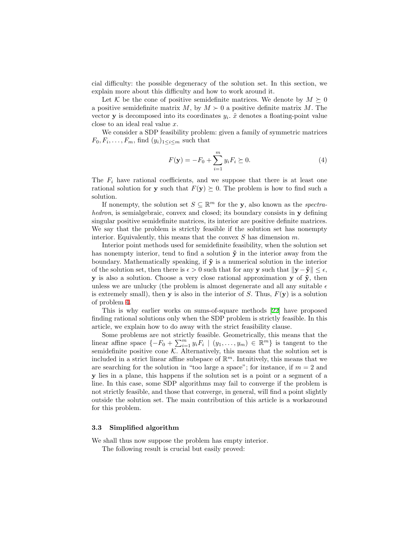cial difficulty: the possible degeneracy of the solution set. In this section, we explain more about this difficulty and how to work around it.

Let K be the cone of positive semidefinite matrices. We denote by  $M \succeq 0$ a positive semidefinite matrix  $M$ , by  $M \geq 0$  a positive definite matrix  $M$ . The vector **y** is decomposed into its coordinates  $y_i$ .  $\tilde{x}$  denotes a floating-point value close to an ideal real value *x*.

We consider a SDP feasibility problem: given a family of symmetric matrices  $F_0, F_i, \ldots, F_m$ , find  $(y_i)_{1 \leq i \leq m}$  such that

<span id="page-6-0"></span>
$$
F(\mathbf{y}) = -F_0 + \sum_{i=1}^{m} y_i F_i \succeq 0.
$$
 (4)

The  $F_i$  have rational coefficients, and we suppose that there is at least one rational solution for **y** such that  $F(y) \geq 0$ . The problem is how to find such a solution.

If nonempty, the solution set  $S \subseteq \mathbb{R}^m$  for the **y**, also known as the *spectrahedron*, is semialgebraic, convex and closed; its boundary consists in **y** defining singular positive semidefinite matrices, its interior are positive definite matrices. We say that the problem is strictly feasible if the solution set has nonempty interior. Equivalently, this means that the convex *S* has dimension *m*.

Interior point methods used for semidefinite feasibility, when the solution set has nonempty interior, tend to find a solution  $\tilde{y}$  in the interior away from the boundary. Mathematically speaking, if  $\tilde{y}$  is a numerical solution in the interior of the solution set, then there is  $\epsilon > 0$  such that for any **y** such that  $\|\mathbf{y} - \tilde{\mathbf{y}}\| \leq \epsilon$ , **y** is also a solution. Choose a very close rational approximation **y** of  $\tilde{y}$ , then unless we are unlucky (the problem is almost degenerate and all any suitable  $\epsilon$ is extremely small), then **y** is also in the interior of *S*. Thus, *F*(**y**) is a solution of problem [4.](#page-6-0)

This is why earlier works on sums-of-square methods [\[22](#page-14-9)] have proposed finding rational solutions only when the SDP problem is strictly feasible. In this article, we explain how to do away with the strict feasibility clause.

Some problems are not strictly feasible. Geometrically, this means that the linear affine space  $\{-F_0 + \sum_{i=1}^m y_i F_i \mid (y_1, \ldots, y_m) \in \mathbb{R}^m\}$  is tangent to the semidefinite positive cone  $K$ . Alternatively, this means that the solution set is included in a strict linear affine subspace of  $\mathbb{R}^m$ . Intuitively, this means that we are searching for the solution in "too large a space"; for instance, if  $m = 2$  and **y** lies in a plane, this happens if the solution set is a point or a segment of a line. In this case, some SDP algorithms may fail to converge if the problem is not strictly feasible, and those that converge, in general, will find a point slightly outside the solution set. The main contribution of this article is a workaround for this problem.

#### <span id="page-6-2"></span>**3.3 Simplified algorithm**

We shall thus now suppose the problem has empty interior.

<span id="page-6-1"></span>The following result is crucial but easily proved: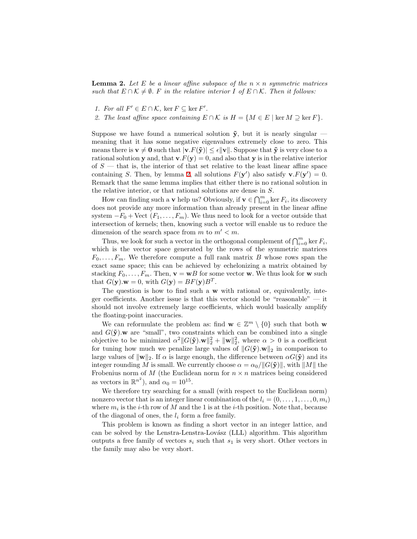**Lemma 2.** Let E be a linear affine subspace of the  $n \times n$  symmetric matrices *such that*  $E \cap K \neq \emptyset$ *. F in the relative interior I of*  $E \cap K$ *. Then it follows:* 

- *1. For all*  $F' \in E \cap K$ , ker  $F \subseteq \ker F'$ .
- *2. The least affine space containing*  $E \cap K$  *is*  $H = \{M \in E \mid \text{ker } M \supseteq \text{ker } F\}.$

Suppose we have found a numerical solution  $\tilde{y}$ , but it is nearly singular meaning that it has some negative eigenvalues extremely close to zero. This means there is  $\mathbf{v} \neq \mathbf{0}$  such that  $|\mathbf{v}.F(\tilde{\mathbf{y}})| \leq \epsilon ||\mathbf{v}||$ . Suppose that  $\tilde{\mathbf{y}}$  is very close to a rational solution **y** and, that  $\mathbf{v} \cdot F(\mathbf{y}) = 0$ , and also that **y** is in the relative interior of *S* — that is, the interior of that set relative to the least linear affine space containing *S*. Then, by lemma [2](#page-6-1), all solutions  $F(\mathbf{y}')$  also satisfy  $\mathbf{v} \cdot F(\mathbf{y}') = 0$ . Remark that the same lemma implies that either there is no rational solution in the relative interior, or that rational solutions are dense in *S*.

How can finding such a **v** help us? Obviously, if **v**  $\in \bigcap_{i=0}^{m}$  ker  $F_i$ , its discovery does not provide any more information than already present in the linear affine system  $-F_0 + \text{Vect } (F_1, \ldots, F_m)$ . We thus need to look for a vector outside that intersection of kernels; then, knowing such a vector will enable us to reduce the dimension of the search space from  $m$  to  $m' < m$ .

Thus, we look for such a vector in the orthogonal complement of  $\bigcap_{i=0}^{m}$  ker  $F_i$ , which is the vector space generated by the rows of the symmetric matrices  $F_0, \ldots, F_m$ . We therefore compute a full rank matrix *B* whose rows span the exact same space; this can be achieved by echelonizing a matrix obtained by stacking  $F_0, \ldots, F_m$ . Then,  $\mathbf{v} = \mathbf{w}B$  for some vector **w**. We thus look for **w** such that  $G(\mathbf{y}) \cdot \mathbf{w} = 0$ , with  $G(\mathbf{y}) = BF(\mathbf{y})B^T$ .

The question is how to find such a **w** with rational or, equivalently, integer coefficients. Another issue is that this vector should be "reasonable" — it should not involve extremely large coefficients, which would basically amplify the floating-point inaccuracies.

We can reformulate the problem as: find  $\mathbf{w} \in \mathbb{Z}^m \setminus \{0\}$  such that both  $\mathbf{w}$ and  $G(\tilde{\mathbf{y}})$ *.***w** are "small", two constraints which can be combined into a single objective to be minimized  $\alpha^2 ||G(\mathbf{\tilde{y}}).\mathbf{w}||_2^2 + ||\mathbf{w}||_2^2$ , where  $\alpha > 0$  is a coefficient for tuning how much we penalize large values of  $\|G(\tilde{\mathbf{y}}).\mathbf{w}\|_2$  in comparison to large values of  $\|\mathbf{w}\|_2$ . If  $\alpha$  is large enough, the difference between  $\alpha G(\tilde{\mathbf{y}})$  and its integer rounding *M* is small. We currently choose  $\alpha = \alpha_0 / \|G(\tilde{\mathbf{y}})\|$ , with  $\|M\|$  the Frobenius norm of  $M$  (the Euclidean norm for  $n \times n$  matrices being considered as vectors in  $\mathbb{R}^{n^2}$ , and  $\alpha_0 = 10^{15}$ .

We therefore try searching for a small (with respect to the Euclidean norm) nonzero vector that is an integer linear combination of the  $l_i = (0, \ldots, 1, \ldots, 0, m_i)$ where  $m_i$  is the *i*-th row of  $M$  and the 1 is at the *i*-th position. Note that, because of the diagonal of ones, the  $l_i$  form a free family.

This problem is known as finding a short vector in an integer lattice, and can be solved by the Lenstra-Lenstra-Lovász (LLL) algorithm. This algorithm outputs a free family of vectors  $s_i$  such that  $s_1$  is very short. Other vectors in the family may also be very short.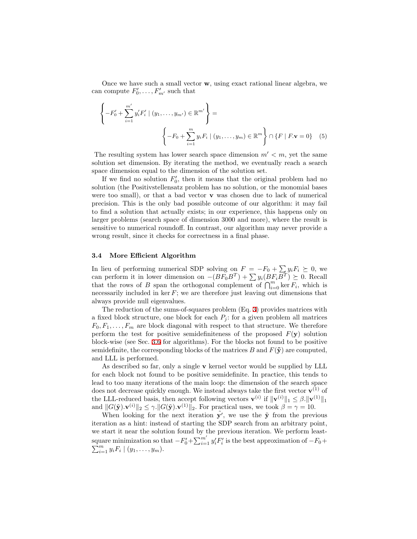Once we have such a small vector **w**, using exact rational linear algebra, we can compute  $F'_0, \ldots, F'_{m'}$  such that

<span id="page-8-0"></span>
$$
\left\{-F'_{0} + \sum_{i=1}^{m'} y'_{i} F'_{i} \mid (y_{1}, \ldots, y_{m'}) \in \mathbb{R}^{m'}\right\} =
$$
\n
$$
\left\{-F_{0} + \sum_{i=1}^{m} y_{i} F_{i} \mid (y_{1}, \ldots, y_{m}) \in \mathbb{R}^{m}\right\} \cap \{F \mid F \cdot \mathbf{v} = 0\}
$$
\n(5)

The resulting system has lower search space dimension  $m' < m$ , yet the same solution set dimension. By iterating the method, we eventually reach a search space dimension equal to the dimension of the solution set.

If we find no solution  $F'_{0}$ , then it means that the original problem had no solution (the Positivstellensatz problem has no solution, or the monomial bases were too small), or that a bad vector **v** was chosen due to lack of numerical precision. This is the only bad possible outcome of our algorithm: it may fail to find a solution that actually exists; in our experience, this happens only on larger problems (search space of dimension 3000 and more), where the result is sensitive to numerical roundoff. In contrast, our algorithm may never provide a wrong result, since it checks for correctness in a final phase.

#### **3.4 More Efficient Algorithm**

In lieu of performing numerical SDP solving on  $F = -F_0 + \sum y_i F_i \succeq 0$ , we can perform it in lower dimension on  $-(BF_0B^T) + \sum y_i(BF_iB^T) \succeq 0$ . Recall that the rows of *B* span the orthogonal complement of  $\bigcap_{i=0}^{m}$  ker  $\overline{F_i}$ , which is necessarily included in  $\ker F$ ; we are therefore just leaving out dimensions that always provide null eigenvalues.

The reduction of the sums-of-squares problem (Eq. [3](#page-4-1)) provides matrices with a fixed block structure, one block for each  $P_i$ : for a given problem all matrices  $F_0, F_1, \ldots, F_m$  are block diagonal with respect to that structure. We therefore perform the test for positive semidefiniteness of the proposed  $F(\mathbf{y})$  solution block-wise (see Sec. [3.6](#page-9-0) for algorithms). For the blocks not found to be positive semidefinite, the corresponding blocks of the matrices *B* and  $F(\tilde{\mathbf{y}})$  are computed, and LLL is performed.

As described so far, only a single **v** kernel vector would be supplied by LLL for each block not found to be positive semidefinite. In practice, this tends to lead to too many iterations of the main loop: the dimension of the search space does not decrease quickly enough. We instead always take the first vector  $\mathbf{v}^{(1)}$  of the LLL-reduced basis, then accept following vectors  $\mathbf{v}^{(i)}$  if  $\|\mathbf{v}^{(i)}\|_1 \leq \beta \cdot \|\mathbf{v}^{(1)}\|_1$ and  $||G(\tilde{\mathbf{y}}).\mathbf{v}^{(i)}||_2 \leq \gamma$ .  $||G(\tilde{\mathbf{y}}).\mathbf{v}^{(1)}||_2$ . For practical uses, we took  $\beta = \gamma = 10$ .

When looking for the next iteration  $\tilde{\mathbf{y}}'$ , we use the  $\tilde{\mathbf{y}}$  from the previous iteration as a hint: instead of starting the SDP search from an arbitrary point, we start it near the solution found by the previous iteration. We perform leastsquare minimization so that  $-F'_0 + \sum_{i=1}^{m'} y'_i F'_i$  is the best approximation of  $-F_0 +$  $\sum_{i=1}^{m} y_i F_i \mid (y_1, \ldots, y_m).$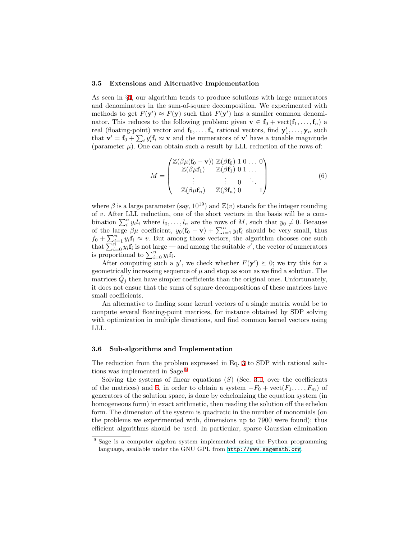#### **3.5 Extensions and Alternative Implementation**

As seen in *§*[4](#page-11-0), our algorithm tends to produce solutions with large numerators and denominators in the sum-of-square decomposition. We experimented with methods to get  $F(\mathbf{y}') \approx F(\mathbf{y})$  such that  $F(\mathbf{y}')$  has a smaller common denominator. This reduces to the following problem: given  $\mathbf{v} \in \mathbf{f}_0 + \text{vect}(\mathbf{f}_1, \ldots, \mathbf{f}_n)$  a real (floating-point) vector and  $\mathbf{f}_0, \ldots, \mathbf{f}_n$  rational vectors, find  $\mathbf{y}'_1, \ldots, \mathbf{y}_n$  such that  $\mathbf{v}' = \mathbf{f}_0 + \sum_i y_i' \mathbf{f}_i \approx \mathbf{v}$  and the numerators of  $\mathbf{v}'$  have a tunable magnitude (parameter  $\mu$ ). One can obtain such a result by LLL reduction of the rows of:

$$
M = \begin{pmatrix} \mathbb{Z}(\beta \mu(\mathbf{f}_0 - \mathbf{v})) \ \mathbb{Z}(\beta \mathbf{f}_0) \ 1 \ 0 \dots \ 0 \\ \mathbb{Z}(\beta \mu \mathbf{f}_1) \ \mathbb{Z}(\beta \mathbf{f}_1) \ 0 \ 1 \dots \\ \vdots \ \vdots \ 0 \\ \mathbb{Z}(\beta \mu \mathbf{f}_n) \ \mathbb{Z}(\beta \mathbf{f}_n) \ 0 \ 1 \end{pmatrix} \tag{6}
$$

where  $\beta$  is a large parameter (say,  $10^{19}$ ) and  $\mathbb{Z}(v)$  stands for the integer rounding of *v*. After LLL reduction, one of the short vectors in the basis will be a combination  $\sum_{i}^{n} y_i l_i$  where  $l_0, \ldots, l_n$  are the rows of *M*, such that  $y_0 \neq 0$ . Because *i*of the large *βµ* coefficient,  $y_0$ (**f**<sub>0</sub> − **v**) +  $\sum_{i=1}^n y_i$ **f**<sub>*i*</sub> should be very small, thus  $f_0 + \sum_{i=1}^n y_i \mathbf{f}_i \approx v$ . But among those vectors, the algorithm chooses one such that  $\sum_{i=0}^{n} y_i \mathbf{f}_i$  is not large — and among the suitable  $v'$ , the vector of numerators is proportional to  $\sum_{i=0}^{n} y_i \mathbf{f}_i$ .

After computing such a y', we check whether  $F(y') \succeq 0$ ; we try this for a geometrically increasing sequence of  $\mu$  and stop as soon as we find a solution. The matrices  $\hat{Q}_j$  then have simpler coefficients than the original ones. Unfortunately, it does not ensue that the sums of square decompositions of these matrices have small coefficients.

An alternative to finding some kernel vectors of a single matrix would be to compute several floating-point matrices, for instance obtained by SDP solving with optimization in multiple directions, and find common kernel vectors using LLL.

#### <span id="page-9-0"></span>**3.6 Sub-algorithms and Implementation**

The reduction from the problem expressed in Eq. [3](#page-4-1) to SDP with rational solu-tions was implemented in Sage.<sup>[9](#page-9-1)</sup>

Solving the systems of linear equations  $(S)$  (Sec. [3.1,](#page-4-2) over the coefficients of the matrices) and [5](#page-8-0), in order to obtain a system  $-F_0 + \text{vect}(F_1, \ldots, F_m)$  of generators of the solution space, is done by echelonizing the equation system (in homogeneous form) in exact arithmetic, then reading the solution off the echelon form. The dimension of the system is quadratic in the number of monomials (on the problems we experimented with, dimensions up to 7900 were found); thus efficient algorithms should be used. In particular, sparse Gaussian elimination

<span id="page-9-1"></span><sup>&</sup>lt;sup>9</sup> Sage is a computer algebra system implemented using the Python programming language, available under the GNU GPL from <http://www.sagemath.org>.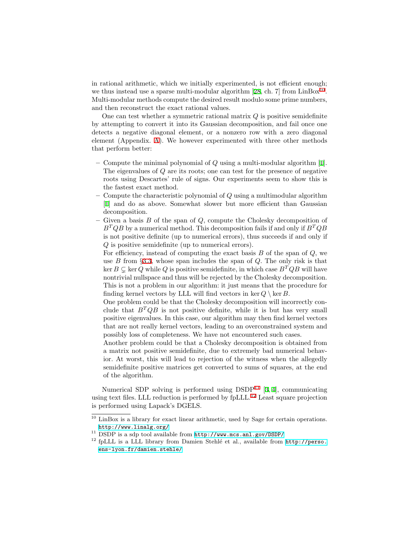in rational arithmetic, which we initially experimented, is not efficient enough; we thus instead use a sparse multi-modular algorithm  $[28, ch. 7]$  $[28, ch. 7]$  $[28, ch. 7]$  from LinBox<sup>[10](#page-10-0)</sup>. Multi-modular methods compute the desired result modulo some prime numbers, and then reconstruct the exact rational values.

One can test whether a symmetric rational matrix *Q* is positive semidefinite by attempting to convert it into its Gaussian decomposition, and fail once one detects a negative diagonal element, or a nonzero row with a zero diagonal element (Appendix. [A\)](#page-15-7). We however experimented with three other methods that perform better:

- **–** Compute the minimal polynomial of *Q* using a multi-modular algorithm [[1](#page-13-2)]. The eigenvalues of *Q* are its roots; one can test for the presence of negative roots using Descartes' rule of signs. Our experiments seem to show this is the fastest exact method.
- **–** Compute the characteristic polynomial of *Q* using a multimodular algorithm [\[1](#page-13-2)] and do as above. Somewhat slower but more efficient than Gaussian decomposition.
- **–** Given a basis *B* of the span of *Q*, compute the Cholesky decomposition of  $B^TQB$  by a numerical method. This decomposition fails if and only if  $B^TQB$ is not positive definite (up to numerical errors), thus succeeds if and only if *Q* is positive semidefinite (up to numerical errors).

For efficiency, instead of computing the exact basis *B* of the span of *Q*, we use *B* from *§*[3.3](#page-6-2), whose span includes the span of *Q*. The only risk is that  $ker B \subseteq ker Q$  while *Q* is positive semidefinite, in which case  $B^TQB$  will have nontrivial nullspace and thus will be rejected by the Cholesky decomposition. This is not a problem in our algorithm: it just means that the procedure for finding kernel vectors by LLL will find vectors in ker  $Q \setminus \ker B$ .

One problem could be that the Cholesky decomposition will incorrectly conclude that  $B^TQB$  is not positive definite, while it is but has very small positive eigenvalues. In this case, our algorithm may then find kernel vectors that are not really kernel vectors, leading to an overconstrained system and possibly loss of completeness. We have not encountered such cases.

Another problem could be that a Cholesky decomposition is obtained from a matrix not positive semidefinite, due to extremely bad numerical behavior. At worst, this will lead to rejection of the witness when the allegedly semidefinite positive matrices get converted to sums of squares, at the end of the algorithm.

Numerical SDP solving is performed using  $DSDP<sup>11</sup>$  $DSDP<sup>11</sup>$  $DSDP<sup>11</sup>$  [\[3](#page-13-3), [4](#page-13-4)], communicating using text files. LLL reduction is performed by  $\text{fpLLL}.^{12}$  $\text{fpLLL}.^{12}$  $\text{fpLLL}.^{12}$  Least square projection is performed using Lapack's DGELS.

<span id="page-10-0"></span> $10$  LinBox is a library for exact linear arithmetic, used by Sage for certain operations. <http://www.linalg.org/>

<span id="page-10-1"></span> $11$  DSDP is a sdp tool available from  $http://www.mcs.an1.gov/DSDP/$ 

<span id="page-10-2"></span> $12$  fpLLL is a LLL library from Damien Stehlé et al., available from  $http://perso.$ [ens-lyon.fr/damien.stehle/](http://perso.ens-lyon.fr/damien.stehle/)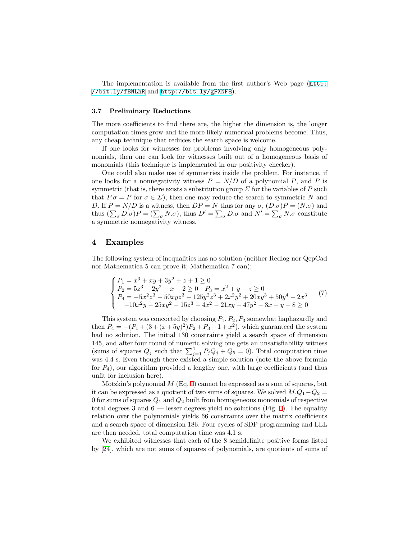The implementation is available from the first author's Web page ([http:](http://bit.ly/fBNLhR) [//bit.ly/fBNLhR](http://bit.ly/fBNLhR) and <http://bit.ly/gPXNF8>).

#### **3.7 Preliminary Reductions**

The more coefficients to find there are, the higher the dimension is, the longer computation times grow and the more likely numerical problems become. Thus, any cheap technique that reduces the search space is welcome.

If one looks for witnesses for problems involving only homogeneous polynomials, then one can look for witnesses built out of a homogeneous basis of monomials (this technique is implemented in our positivity checker).

One could also make use of symmetries inside the problem. For instance, if one looks for a nonnegativity witness  $P = N/D$  of a polynomial P, and P is symmetric (that is, there exists a substitution group  $\Sigma$  for the variables of  $P$  such that  $P.\sigma = P$  for  $\sigma \in \Sigma$ ), then one may reduce the search to symmetric N and *D*. If  $P = N/D$  is a witness, then  $DP = N$  thus for any  $\sigma$ ,  $(D.\sigma)P = (N.\sigma)$  and thus  $(\sum_{\sigma} D.\sigma)P = (\sum_{\sigma} N.\sigma)$ , thus  $D' = \sum_{\sigma} D.\sigma$  and  $N' = \sum_{\sigma} N.\sigma$  constitute a symmetric nonnegativity witness.

# <span id="page-11-0"></span>**4 Examples**

The following system of inequalities has no solution (neither Redlog nor QepCad nor Mathematica 5 can prove it; Mathematica 7 can):

$$
\begin{cases}\nP_1 = x^3 + xy + 3y^2 + z + 1 \ge 0 \\
P_2 = 5z^3 - 2y^2 + x + 2 \ge 0 \\
P_4 = -5x^2z^3 - 50xyz^3 - 125y^2z^3 + 2x^2y^2 + 20xy^3 + 50y^4 - 2x^3 \\
-10x^2y - 25xy^2 - 15z^3 - 4x^2 - 21xy - 47y^2 - 3x - y - 8 \ge 0\n\end{cases}
$$
\n(7)

This system was concocted by choosing *P*1*, P*2*, P*<sup>3</sup> somewhat haphazardly and then  $P_4 = -(P_1 + (3 + (x + 5y)^2)P_2 + P_3 + 1 + x^2)$ , which guaranteed the system had no solution. The initial 130 constraints yield a search space of dimension 145, and after four round of numeric solving one gets an unsatisfiability witness (sums of squares  $Q_j$  such that  $\sum_{j=1}^4 P_j Q_j + Q_5 = 0$ ). Total computation time was 4.4 s. Even though there existed a simple solution (note the above formula for  $P_4$ ), our algorithm provided a lengthy one, with large coefficients (and thus unfit for inclusion here).

Motzkin's polynomial *M* (Eq. [1\)](#page-2-3) cannot be expressed as a sum of squares, but it can be expressed as a quotient of two sums of squares. We solved *M.Q*1*−Q*<sup>2</sup> = 0 for sums of squares *Q*<sup>1</sup> and *Q*<sup>2</sup> built from homogeneous monomials of respective total degrees 3 and  $6$  — lesser degrees yield no solutions (Fig. [1](#page-12-0)). The equality relation over the polynomials yields 66 constraints over the matrix coefficients and a search space of dimension 186. Four cycles of SDP programming and LLL are then needed, total computation time was 4.1 s.

We exhibited witnesses that each of the 8 semidefinite positive forms listed by [[24](#page-14-11)], which are not sums of squares of polynomials, are quotients of sums of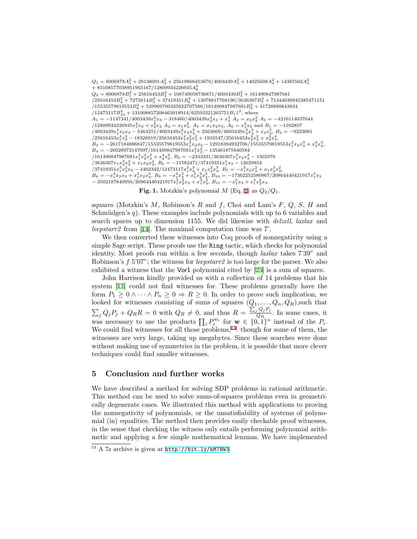```
Q_1 = 8006878A_1^2 + 29138091A_2^2 + 25619868453870/4003439A_3^2 + 14025608A_4^2 + 14385502A_5^2+ \ 85108577038951965167/12809934226935A_6^2Q_2 = 8006878B_1^2 + 25616453B_2^2 + 108749058736871/4003439B_3^2 + 161490847987681{\textstyle \sqrt{25616453} B_4^2 + 7272614 B_5^2 + 37419351 B_6^2 + 13078817768190/3636307 B_7^2 + 71344030945385471151} }\mu/15535579819553B_8^2 + 539969700325922707586/161490847987681B_9^2 + 41728880843834/12473117B_{10}^2 + 131008857208463018914/62593321265751B_11^2, where
\begin{array}{l} A_1 = -1147341/4003439 x_1^2 x_3 - 318460/4003439 x_2^2 x_3 + x_3^3 \ A_2 = x_2 x_3^2 \ A_3 = -4216114037644 \\[2mm] /12809934226935 x_1^2 x_3 + x_2^2 x_3 \ A_4 = x_1 x_3^2, \ A_5 = x_1 x_2 x_3, \ A_6 = x_1^2 x_3 \ \text{and} \ B_1 = -1102857 \\[2mm] /4003439 x_1^4 x_2 x_3 -B_3 = -2617184886847/15535579819553x_1^4 x_2 x_3 - 12918394932706/15535579819553x_1^2 x_2 x_3^3 + x_2^3 x_3^3,B<sub>4</sub> = −26028972147097/161490847987681x_1^4x_3^2 − 135461875840584
\left(161490847987681x_1^2x_2^2x_3^2+x_2^4x_3^2,\, B_5=-2333331/3636307x_1^3x_2x_3^2-1302976\right.\\ \left. \left(3636307x_1x_2^3x_3^2+x_1x_2x_3^4,\, B_6=-11582471/37419351x_1^5x_3-12629854\right.\right.\\ \left.\right./37419351x_{1}^3x_{2}^2x_{3}-4402342/12473117x_{1}^3x_{3}^3+x_{1}x_{2}^2x_{3}^3,\ B_7=-x_{1}^3x_{2}x_{3}^2+x_{1}x_{2}^3x_{3}^2,B_8=-x_1^4x_2x_3+x_1^2x_2x_3^3,\ B_9=-x_1^4x_3^2+x_1^2x_2^2x_3^2,\ B_{10}=-17362252580967/20864440421917x_1^5x_3-3502187840950/20864440421917x_1^3x_2^2x_3 + x_1^3x_3^3, B_{11} = -x_1^5x_3 + x_1^3x_2^2x_3.
```
<span id="page-12-0"></span>**Fig. [1](#page-2-3).** Motzkin's polynomial *M* (Eq. 1) as  $Q_2/Q_1$ .

squares (Motzkin's *M*, Robinson's *R* and *f*, Choi and Lam's *F*, *Q*, *S*, *H* and Schmüdgen's  $q$ ). These examples include polynomials with up to 6 variables and search spaces up to dimension 1155. We did likewise with *delzell*, *laxlax* and *leepstarr2* from [[14\]](#page-14-17). The maximal computation time was 7'.

We then converted these witnesses into Coq proofs of nonnegativity using a simple Sage script. These proofs use the Ring tactic, which checks for polynomial identity. Most proofs run within a few seconds, though *laxlax* takes 7'39" and Robinson's *f* 5'07"; the witness for *leepstarr2* is too large for the parser. We also exhibited a witness that the Vor1 polynomial cited by [\[25](#page-15-8)] is a sum of squares.

John Harrison kindly provided us with a collection of 14 problems that his system [\[11](#page-14-8)] could not find witnesses for. These problems generally have the form  $P_1 \geq 0 \land \cdots \land P_n \geq 0 \Rightarrow R \geq 0$ . In order to prove such implication, we looked for witnesses consisting of sums of squares  $(Q_1, \ldots, Q_n, Q_R)$ , such that  $\sum_{j} Q_j P_j + Q_R R = 0$  with  $Q_R \neq 0$ , and thus  $R = \frac{\sum_{j} Q_j P_j}{Q_R}$  $\frac{Q_3 I g_3}{Q_R}$ . In some cases, it was necessary to use the products  $\prod_i P_i^{w_i}$  for  $\mathbf{w} \in \{0,1\}^n$  instead of the  $P_i$ . We could find witnesses for all those problems,  $^{13}$  $^{13}$  $^{13}$ . though for some of them, the witnesses are very large, taking up megabytes. Since these searches were done without making use of symmetries in the problem, it is possible that more clever techniques could find smaller witnesses.

# **5 Conclusion and further works**

We have described a method for solving SDP problems in rational arithmetic. This method can be used to solve sums-of-squares problems even in geometrically degenerate cases. We illustrated this method with applications to proving the nonnegativity of polynomials, or the unsatisfiability of systems of polynomial (in) equalities. The method then provides easily checkable proof witnesses, in the sense that checking the witness only entails performing polynomial arithmetic and applying a few simple mathematical lemmas. We have implemented

<span id="page-12-1"></span><sup>&</sup>lt;sup>13</sup> A 7z archive is given at <http://bit.ly/hM7HW3>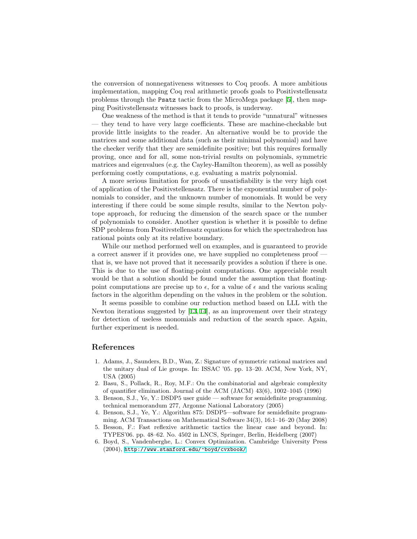the conversion of nonnegativeness witnesses to Coq proofs. A more ambitious implementation, mapping Coq real arithmetic proofs goals to Positivstellensatz problems through the Psatz tactic from the MicroMega package [[5\]](#page-13-5), then mapping Positivstellensatz witnesses back to proofs, is underway.

One weakness of the method is that it tends to provide "unnatural" witnesses — they tend to have very large coefficients. These are machine-checkable but provide little insights to the reader. An alternative would be to provide the matrices and some additional data (such as their minimal polynomial) and have the checker verify that they are semidefinite positive; but this requires formally proving, once and for all, some non-trivial results on polynomials, symmetric matrices and eigenvalues (e.g. the Cayley-Hamilton theorem), as well as possibly performing costly computations, e.g. evaluating a matrix polynomial.

A more serious limitation for proofs of unsatisfiability is the very high cost of application of the Positivstellensatz. There is the exponential number of polynomials to consider, and the unknown number of monomials. It would be very interesting if there could be some simple results, similar to the Newton polytope approach, for reducing the dimension of the search space or the number of polynomials to consider. Another question is whether it is possible to define SDP problems from Positivstellensatz equations for which the spectrahedron has rational points only at its relative boundary.

While our method performed well on examples, and is guaranteed to provide a correct answer if it provides one, we have supplied no completeness proof that is, we have not proved that it necessarily provides a solution if there is one. This is due to the use of floating-point computations. One appreciable result would be that a solution should be found under the assumption that floatingpoint computations are precise up to  $\epsilon$ , for a value of  $\epsilon$  and the various scaling factors in the algorithm depending on the values in the problem or the solution.

It seems possible to combine our reduction method based on LLL with the Newton iterations suggested by  $[13, 14]$  $[13, 14]$  $[13, 14]$  $[13, 14]$  $[13, 14]$ , as an improvement over their strategy for detection of useless monomials and reduction of the search space. Again, further experiment is needed.

### **References**

- <span id="page-13-2"></span>1. Adams, J., Saunders, B.D., Wan, Z.: Signature of symmetric rational matrices and the unitary dual of Lie groups. In: ISSAC '05. pp. 13–20. ACM, New York, NY, USA (2005)
- <span id="page-13-0"></span>2. Basu, S., Pollack, R., Roy, M.F.: On the combinatorial and algebraic complexity of quantifier elimination. Journal of the ACM (JACM) 43(6), 1002–1045 (1996)
- <span id="page-13-3"></span>3. Benson, S.J., Ye, Y.: DSDP5 user guide — software for semidefinite programming. technical memorandum 277, Argonne National Laboratory (2005)
- <span id="page-13-4"></span>4. Benson, S.J., Ye, Y.: Algorithm 875: DSDP5—software for semidefinite programming. ACM Transactions on Mathematical Software 34(3), 16:1–16–20 (May 2008)
- <span id="page-13-5"></span>5. Besson, F.: Fast reflexive arithmetic tactics the linear case and beyond. In: TYPES'06. pp. 48–62. No. 4502 in LNCS, Springer, Berlin, Heidelberg (2007)
- <span id="page-13-1"></span>6. Boyd, S., Vandenberghe, L.: Convex Optimization. Cambridge University Press (2004), <http://www.stanford.edu/~boyd/cvxbook/>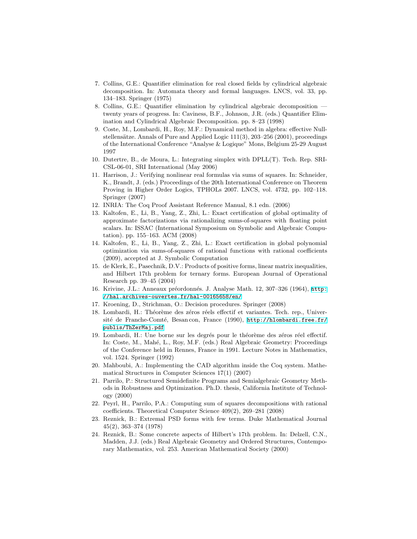- <span id="page-14-0"></span>7. Collins, G.E.: Quantifier elimination for real closed fields by cylindrical algebraic decomposition. In: Automata theory and formal languages. LNCS, vol. 33, pp. 134–183. Springer (1975)
- <span id="page-14-1"></span>8. Collins, G.E.: Quantifier elimination by cylindrical algebraic decomposition twenty years of progress. In: Caviness, B.F., Johnson, J.R. (eds.) Quantifier Elimination and Cylindrical Algebraic Decomposition. pp. 8–23 (1998)
- <span id="page-14-13"></span>9. Coste, M., Lombardi, H., Roy, M.F.: Dynamical method in algebra: effective Nullstellensätze. Annals of Pure and Applied Logic  $111(3)$ ,  $203-256$  (2001), proceedings of the International Conference "Analyse & Logique" Mons, Belgium 25-29 August 1997
- <span id="page-14-5"></span>10. Dutertre, B., de Moura, L.: Integrating simplex with DPLL(T). Tech. Rep. SRI-CSL-06-01, SRI International (May 2006)
- <span id="page-14-8"></span>11. Harrison, J.: Verifying nonlinear real formulas via sums of squares. In: Schneider, K., Brandt, J. (eds.) Proceedings of the 20th International Conference on Theorem Proving in Higher Order Logics, TPHOLs 2007. LNCS, vol. 4732, pp. 102–118. Springer (2007)
- <span id="page-14-2"></span>12. INRIA: The Coq Proof Assistant Reference Manual, 8.1 edn. (2006)
- <span id="page-14-10"></span>13. Kaltofen, E., Li, B., Yang, Z., Zhi, L.: Exact certification of global optimality of approximate factorizations via rationalizing sums-of-squares with floating point scalars. In: ISSAC (International Symposium on Symbolic and Algebraic Computation). pp. 155–163. ACM (2008)
- <span id="page-14-17"></span>14. Kaltofen, E., Li, B., Yang, Z., Zhi, L.: Exact certification in global polynomial optimization via sums-of-squares of rational functions with rational coefficients (2009), accepted at J. Symbolic Computation
- <span id="page-14-12"></span>15. de Klerk, E., Pasechnik, D.V.: Products of positive forms, linear matrix inequalities, and Hilbert 17th problem for ternary forms. European Journal of Operational Research pp. 39–45 (2004)
- <span id="page-14-7"></span>16. Krivine, J.L.: Anneaux préordonnés. J. Analyse Math. 12, 307–326 (1964), [http:](http://hal.archives-ouvertes.fr/hal-00165658/en/) [//hal.archives-ouvertes.fr/hal-00165658/en/](http://hal.archives-ouvertes.fr/hal-00165658/en/)
- <span id="page-14-4"></span>17. Kroening, D., Strichman, O.: Decision procedures. Springer (2008)
- <span id="page-14-14"></span>18. Lombardi, H.: Théorème des zéros réels effectif et variantes. Tech. rep., Université de Franche-Comté, Besan con, France (1990), [http://hlombardi.free.fr/](http://hlombardi.free.fr/publis/ThZerMaj.pdf) [publis/ThZerMaj.pdf](http://hlombardi.free.fr/publis/ThZerMaj.pdf)
- <span id="page-14-15"></span>19. Lombardi, H.: Une borne sur les degrés pour le théorème des zéros réel effectif. In: Coste, M., Mahé, L., Roy, M.F. (eds.) Real Algebraic Geometry: Proceedings of the Conference held in Rennes, France in 1991. Lecture Notes in Mathematics, vol. 1524. Springer (1992)
- <span id="page-14-3"></span>20. Mahboubi, A.: Implementing the CAD algorithm inside the Coq system. Mathematical Structures in Computer Sciences 17(1) (2007)
- <span id="page-14-6"></span>21. Parrilo, P.: Structured Semidefinite Programs and Semialgebraic Geometry Methods in Robustness and Optimization. Ph.D. thesis, California Institute of Technology (2000)
- <span id="page-14-9"></span>22. Peyrl, H., Parrilo, P.A.: Computing sum of squares decompositions with rational coefficients. Theoretical Computer Science 409(2), 269–281 (2008)
- <span id="page-14-16"></span>23. Reznick, B.: Extremal PSD forms with few terms. Duke Mathematical Journal 45(2), 363–374 (1978)
- <span id="page-14-11"></span>24. Reznick, B.: Some concrete aspects of Hilbert's 17th problem. In: Delzell, C.N., Madden, J.J. (eds.) Real Algebraic Geometry and Ordered Structures, Contemporary Mathematics, vol. 253. American Mathematical Society (2000)